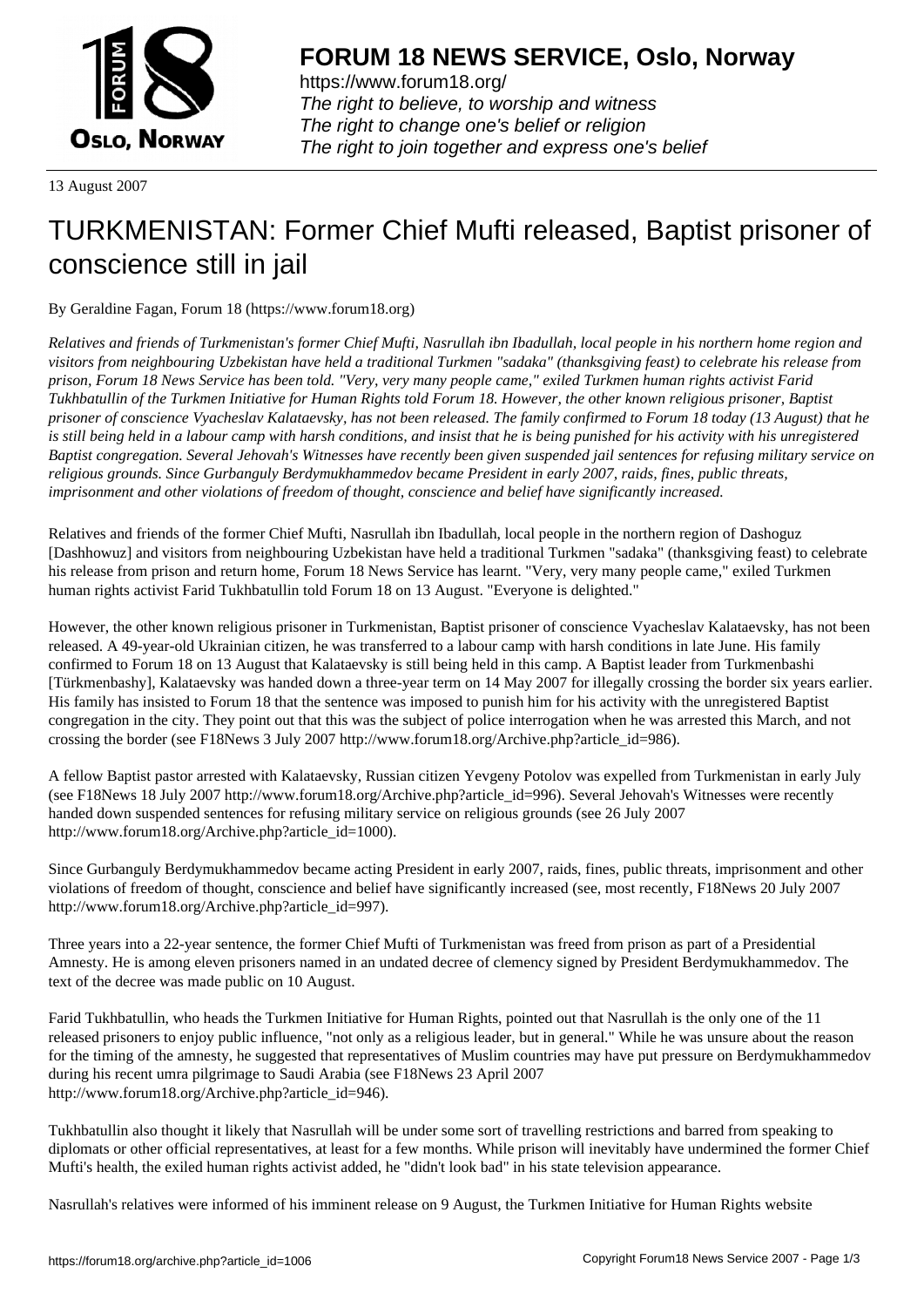

https://www.forum18.org/ The right to believe, to worship and witness The right to change one's belief or religion [The right to join together a](https://www.forum18.org/)nd express one's belief

13 August 2007

## [TURKMENISTA](https://www.forum18.org)N: Former Chief Mufti released, Baptist prisoner of conscience still in jail

By Geraldine Fagan, Forum 18 (https://www.forum18.org)

*Relatives and friends of Turkmenistan's former Chief Mufti, Nasrullah ibn Ibadullah, local people in his northern home region and visitors from neighbouring Uzbekistan have held a traditional Turkmen "sadaka" (thanksgiving feast) to celebrate his release from prison, Forum 18 News Service has been told. "Very, very many people came," exiled Turkmen human rights activist Farid Tukhbatullin of the Turkmen Initiative for Human Rights told Forum 18. However, the other known religious prisoner, Baptist prisoner of conscience Vyacheslav Kalataevsky, has not been released. The family confirmed to Forum 18 today (13 August) that he is still being held in a labour camp with harsh conditions, and insist that he is being punished for his activity with his unregistered Baptist congregation. Several Jehovah's Witnesses have recently been given suspended jail sentences for refusing military service on religious grounds. Since Gurbanguly Berdymukhammedov became President in early 2007, raids, fines, public threats, imprisonment and other violations of freedom of thought, conscience and belief have significantly increased.*

Relatives and friends of the former Chief Mufti, Nasrullah ibn Ibadullah, local people in the northern region of Dashoguz [Dashhowuz] and visitors from neighbouring Uzbekistan have held a traditional Turkmen "sadaka" (thanksgiving feast) to celebrate his release from prison and return home, Forum 18 News Service has learnt. "Very, very many people came," exiled Turkmen human rights activist Farid Tukhbatullin told Forum 18 on 13 August. "Everyone is delighted."

However, the other known religious prisoner in Turkmenistan, Baptist prisoner of conscience Vyacheslav Kalataevsky, has not been released. A 49-year-old Ukrainian citizen, he was transferred to a labour camp with harsh conditions in late June. His family confirmed to Forum 18 on 13 August that Kalataevsky is still being held in this camp. A Baptist leader from Turkmenbashi [Türkmenbashy], Kalataevsky was handed down a three-year term on 14 May 2007 for illegally crossing the border six years earlier. His family has insisted to Forum 18 that the sentence was imposed to punish him for his activity with the unregistered Baptist congregation in the city. They point out that this was the subject of police interrogation when he was arrested this March, and not crossing the border (see F18News 3 July 2007 http://www.forum18.org/Archive.php?article\_id=986).

A fellow Baptist pastor arrested with Kalataevsky, Russian citizen Yevgeny Potolov was expelled from Turkmenistan in early July (see F18News 18 July 2007 http://www.forum18.org/Archive.php?article\_id=996). Several Jehovah's Witnesses were recently handed down suspended sentences for refusing military service on religious grounds (see 26 July 2007 http://www.forum18.org/Archive.php?article\_id=1000).

Since Gurbanguly Berdymukhammedov became acting President in early 2007, raids, fines, public threats, imprisonment and other violations of freedom of thought, conscience and belief have significantly increased (see, most recently, F18News 20 July 2007 http://www.forum18.org/Archive.php?article\_id=997).

Three years into a 22-year sentence, the former Chief Mufti of Turkmenistan was freed from prison as part of a Presidential Amnesty. He is among eleven prisoners named in an undated decree of clemency signed by President Berdymukhammedov. The text of the decree was made public on 10 August.

Farid Tukhbatullin, who heads the Turkmen Initiative for Human Rights, pointed out that Nasrullah is the only one of the 11 released prisoners to enjoy public influence, "not only as a religious leader, but in general." While he was unsure about the reason for the timing of the amnesty, he suggested that representatives of Muslim countries may have put pressure on Berdymukhammedov during his recent umra pilgrimage to Saudi Arabia (see F18News 23 April 2007 http://www.forum18.org/Archive.php?article\_id=946).

Tukhbatullin also thought it likely that Nasrullah will be under some sort of travelling restrictions and barred from speaking to diplomats or other official representatives, at least for a few months. While prison will inevitably have undermined the former Chief Mufti's health, the exiled human rights activist added, he "didn't look bad" in his state television appearance.

Nasrullah's relatives were informed of his imminent release on 9 August, the Turkmen Initiative for Human Rights website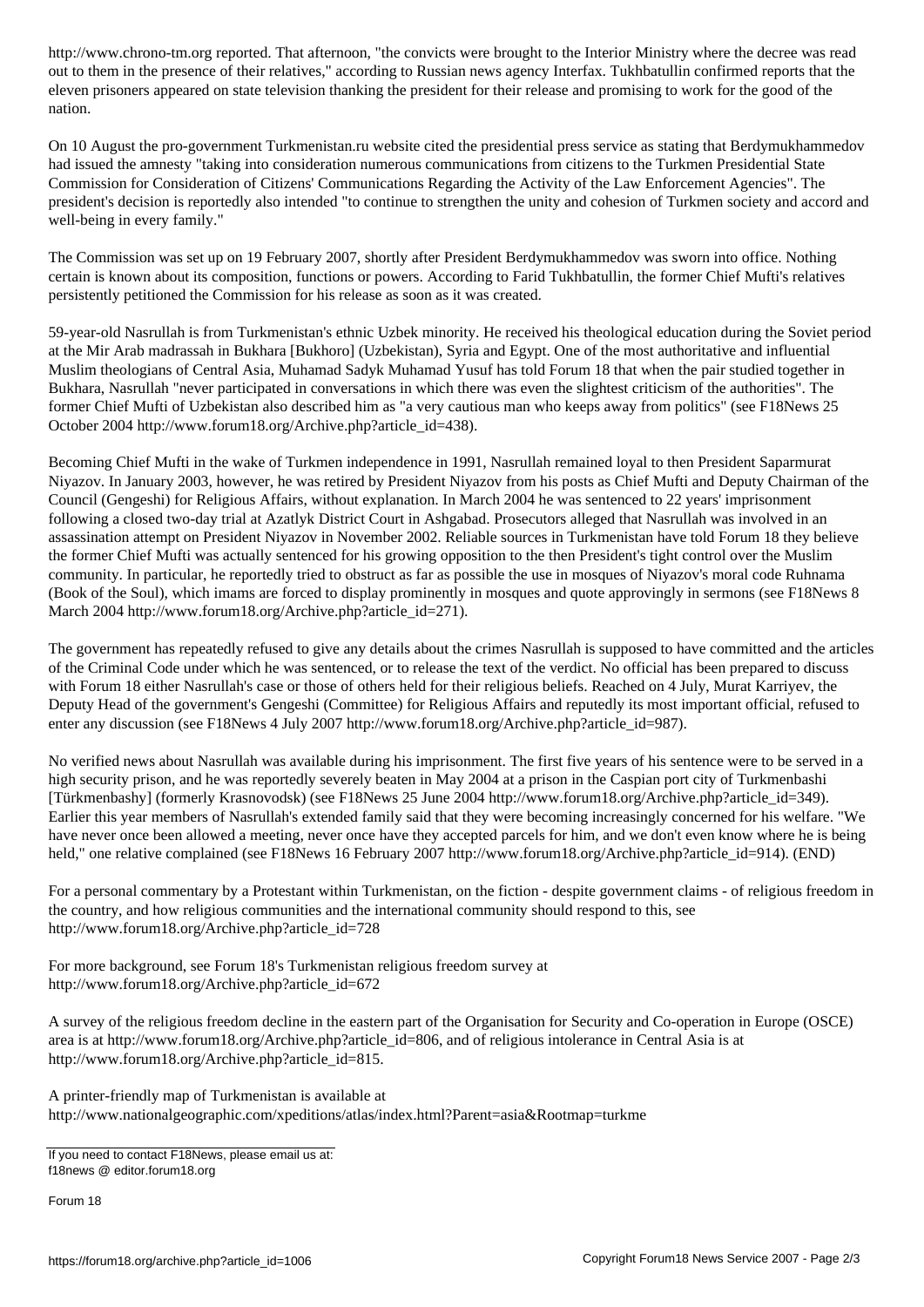out to them in the presence of their relatives," according to Russian news agency Interfax. Tukhbatullin confirmed reports that the eleven prisoners appeared on state television thanking the president for their release and promising to work for the good of the nation.

On 10 August the pro-government Turkmenistan.ru website cited the presidential press service as stating that Berdymukhammedov had issued the amnesty "taking into consideration numerous communications from citizens to the Turkmen Presidential State Commission for Consideration of Citizens' Communications Regarding the Activity of the Law Enforcement Agencies". The president's decision is reportedly also intended "to continue to strengthen the unity and cohesion of Turkmen society and accord and well-being in every family."

The Commission was set up on 19 February 2007, shortly after President Berdymukhammedov was sworn into office. Nothing certain is known about its composition, functions or powers. According to Farid Tukhbatullin, the former Chief Mufti's relatives persistently petitioned the Commission for his release as soon as it was created.

59-year-old Nasrullah is from Turkmenistan's ethnic Uzbek minority. He received his theological education during the Soviet period at the Mir Arab madrassah in Bukhara [Bukhoro] (Uzbekistan), Syria and Egypt. One of the most authoritative and influential Muslim theologians of Central Asia, Muhamad Sadyk Muhamad Yusuf has told Forum 18 that when the pair studied together in Bukhara, Nasrullah "never participated in conversations in which there was even the slightest criticism of the authorities". The former Chief Mufti of Uzbekistan also described him as "a very cautious man who keeps away from politics" (see F18News 25 October 2004 http://www.forum18.org/Archive.php?article\_id=438).

Becoming Chief Mufti in the wake of Turkmen independence in 1991, Nasrullah remained loyal to then President Saparmurat Niyazov. In January 2003, however, he was retired by President Niyazov from his posts as Chief Mufti and Deputy Chairman of the Council (Gengeshi) for Religious Affairs, without explanation. In March 2004 he was sentenced to 22 years' imprisonment following a closed two-day trial at Azatlyk District Court in Ashgabad. Prosecutors alleged that Nasrullah was involved in an assassination attempt on President Niyazov in November 2002. Reliable sources in Turkmenistan have told Forum 18 they believe the former Chief Mufti was actually sentenced for his growing opposition to the then President's tight control over the Muslim community. In particular, he reportedly tried to obstruct as far as possible the use in mosques of Niyazov's moral code Ruhnama (Book of the Soul), which imams are forced to display prominently in mosques and quote approvingly in sermons (see F18News 8 March 2004 http://www.forum18.org/Archive.php?article\_id=271).

The government has repeatedly refused to give any details about the crimes Nasrullah is supposed to have committed and the articles of the Criminal Code under which he was sentenced, or to release the text of the verdict. No official has been prepared to discuss with Forum 18 either Nasrullah's case or those of others held for their religious beliefs. Reached on 4 July, Murat Karriyev, the Deputy Head of the government's Gengeshi (Committee) for Religious Affairs and reputedly its most important official, refused to enter any discussion (see F18News 4 July 2007 http://www.forum18.org/Archive.php?article\_id=987).

No verified news about Nasrullah was available during his imprisonment. The first five years of his sentence were to be served in a high security prison, and he was reportedly severely beaten in May 2004 at a prison in the Caspian port city of Turkmenbashi [Türkmenbashy] (formerly Krasnovodsk) (see F18News 25 June 2004 http://www.forum18.org/Archive.php?article\_id=349). Earlier this year members of Nasrullah's extended family said that they were becoming increasingly concerned for his welfare. "We have never once been allowed a meeting, never once have they accepted parcels for him, and we don't even know where he is being held," one relative complained (see F18News 16 February 2007 http://www.forum18.org/Archive.php?article\_id=914). (END)

For a personal commentary by a Protestant within Turkmenistan, on the fiction - despite government claims - of religious freedom in the country, and how religious communities and the international community should respond to this, see http://www.forum18.org/Archive.php?article\_id=728

For more background, see Forum 18's Turkmenistan religious freedom survey at http://www.forum18.org/Archive.php?article\_id=672

A survey of the religious freedom decline in the eastern part of the Organisation for Security and Co-operation in Europe (OSCE) area is at http://www.forum18.org/Archive.php?article\_id=806, and of religious intolerance in Central Asia is at http://www.forum18.org/Archive.php?article\_id=815.

A printer-friendly map of Turkmenistan is available at http://www.nationalgeographic.com/xpeditions/atlas/index.html?Parent=asia&Rootmap=turkme

If you need to contact F18News, please email us at: f18news @ editor.forum18.org

Forum 18